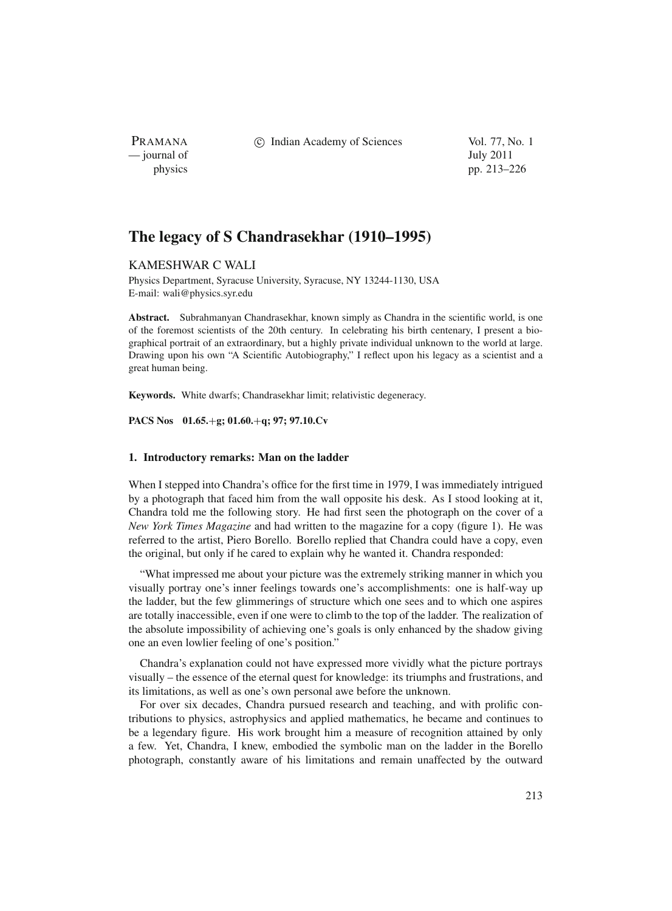PRAMANA — journal of July 2011

c Indian Academy of Sciences Vol. 77, No. 1

physics pp. 213–226

# **The legacy of S Chandrasekhar (1910–1995)**

# KAMESHWAR C WALI

Physics Department, Syracuse University, Syracuse, NY 13244-1130, USA E-mail: wali@physics.syr.edu

**Abstract.** Subrahmanyan Chandrasekhar, known simply as Chandra in the scientific world, is one of the foremost scientists of the 20th century. In celebrating his birth centenary, I present a biographical portrait of an extraordinary, but a highly private individual unknown to the world at large. Drawing upon his own "A Scientific Autobiography," I reflect upon his legacy as a scientist and a great human being.

**Keywords.** White dwarfs; Chandrasekhar limit; relativistic degeneracy.

**PACS Nos 01.65.**+**g; 01.60.**+**q; 97; 97.10.Cv**

#### **1. Introductory remarks: Man on the ladder**

When I stepped into Chandra's office for the first time in 1979, I was immediately intrigued by a photograph that faced him from the wall opposite his desk. As I stood looking at it, Chandra told me the following story. He had first seen the photograph on the cover of a *New York Times Magazine* and had written to the magazine for a copy (figure 1). He was referred to the artist, Piero Borello. Borello replied that Chandra could have a copy, even the original, but only if he cared to explain why he wanted it. Chandra responded:

"What impressed me about your picture was the extremely striking manner in which you visually portray one's inner feelings towards one's accomplishments: one is half-way up the ladder, but the few glimmerings of structure which one sees and to which one aspires are totally inaccessible, even if one were to climb to the top of the ladder. The realization of the absolute impossibility of achieving one's goals is only enhanced by the shadow giving one an even lowlier feeling of one's position."

Chandra's explanation could not have expressed more vividly what the picture portrays visually – the essence of the eternal quest for knowledge: its triumphs and frustrations, and its limitations, as well as one's own personal awe before the unknown.

For over six decades, Chandra pursued research and teaching, and with prolific contributions to physics, astrophysics and applied mathematics, he became and continues to be a legendary figure. His work brought him a measure of recognition attained by only a few. Yet, Chandra, I knew, embodied the symbolic man on the ladder in the Borello photograph, constantly aware of his limitations and remain unaffected by the outward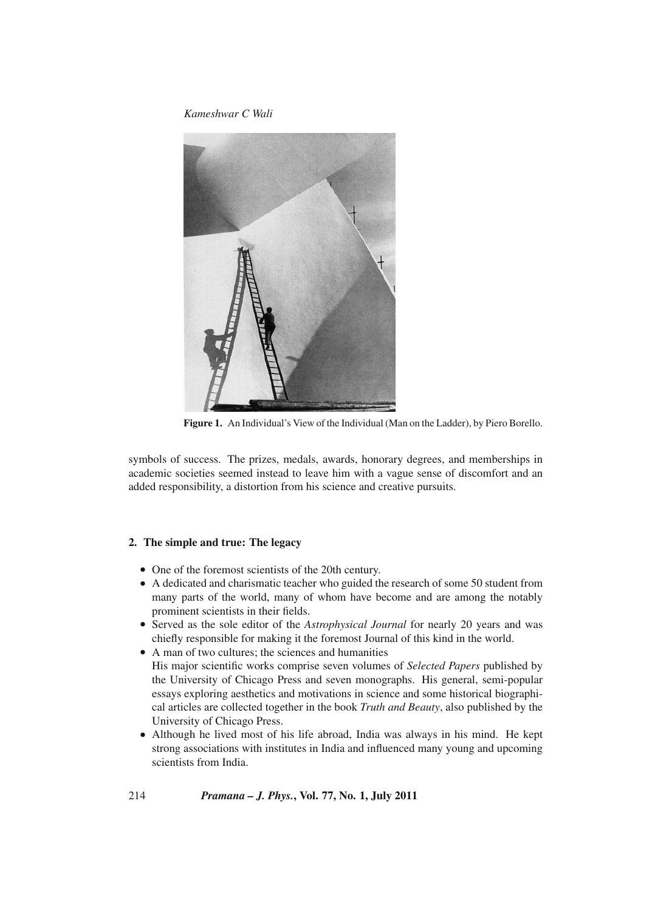

**Figure 1.** An Individual's View of the Individual (Man on the Ladder), by Piero Borello.

symbols of success. The prizes, medals, awards, honorary degrees, and memberships in academic societies seemed instead to leave him with a vague sense of discomfort and an added responsibility, a distortion from his science and creative pursuits.

## **2. The simple and true: The legacy**

- One of the foremost scientists of the 20th century.
- A dedicated and charismatic teacher who guided the research of some 50 student from many parts of the world, many of whom have become and are among the notably prominent scientists in their fields.
- Served as the sole editor of the *Astrophysical Journal* for nearly 20 years and was chiefly responsible for making it the foremost Journal of this kind in the world.
- A man of two cultures; the sciences and humanities His major scientific works comprise seven volumes of *Selected Papers* published by the University of Chicago Press and seven monographs. His general, semi-popular essays exploring aesthetics and motivations in science and some historical biographical articles are collected together in the book *Truth and Beauty*, also published by the University of Chicago Press.
- Although he lived most of his life abroad, India was always in his mind. He kept strong associations with institutes in India and influenced many young and upcoming scientists from India.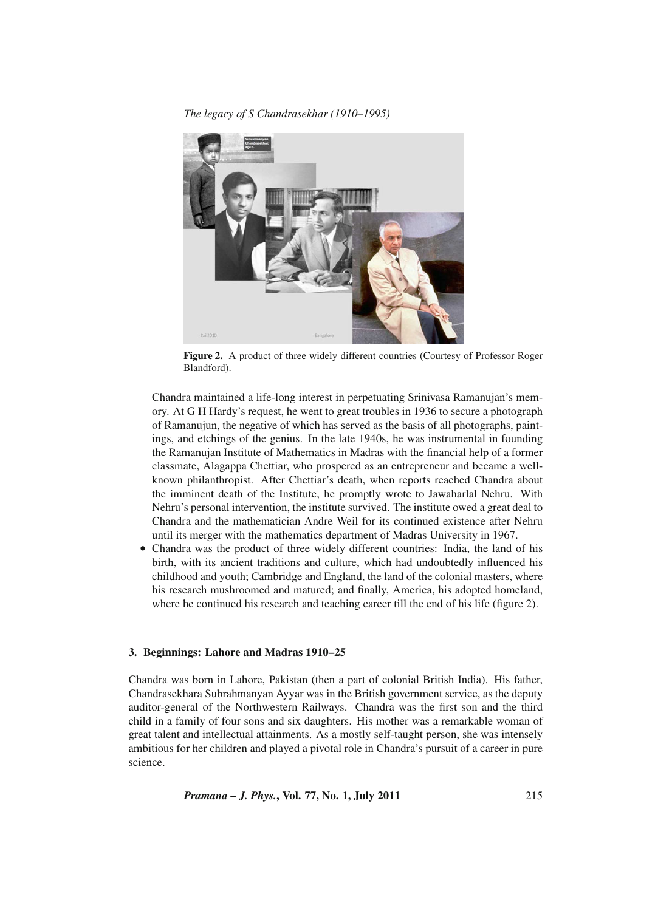*The legacy of S Chandrasekhar (1910–1995)*



**Figure 2.** A product of three widely different countries (Courtesy of Professor Roger Blandford).

Chandra maintained a life-long interest in perpetuating Srinivasa Ramanujan's memory. At G H Hardy's request, he went to great troubles in 1936 to secure a photograph of Ramanujun, the negative of which has served as the basis of all photographs, paintings, and etchings of the genius. In the late 1940s, he was instrumental in founding the Ramanujan Institute of Mathematics in Madras with the financial help of a former classmate, Alagappa Chettiar, who prospered as an entrepreneur and became a wellknown philanthropist. After Chettiar's death, when reports reached Chandra about the imminent death of the Institute, he promptly wrote to Jawaharlal Nehru. With Nehru's personal intervention, the institute survived. The institute owed a great deal to Chandra and the mathematician Andre Weil for its continued existence after Nehru until its merger with the mathematics department of Madras University in 1967.

• Chandra was the product of three widely different countries: India, the land of his birth, with its ancient traditions and culture, which had undoubtedly influenced his childhood and youth; Cambridge and England, the land of the colonial masters, where his research mushroomed and matured; and finally, America, his adopted homeland, where he continued his research and teaching career till the end of his life (figure 2).

# **3. Beginnings: Lahore and Madras 1910–25**

Chandra was born in Lahore, Pakistan (then a part of colonial British India). His father, Chandrasekhara Subrahmanyan Ayyar was in the British government service, as the deputy auditor-general of the Northwestern Railways. Chandra was the first son and the third child in a family of four sons and six daughters. His mother was a remarkable woman of great talent and intellectual attainments. As a mostly self-taught person, she was intensely ambitious for her children and played a pivotal role in Chandra's pursuit of a career in pure science.

*Pramana – J. Phys.***, Vol. 77, No. 1, July 2011** 215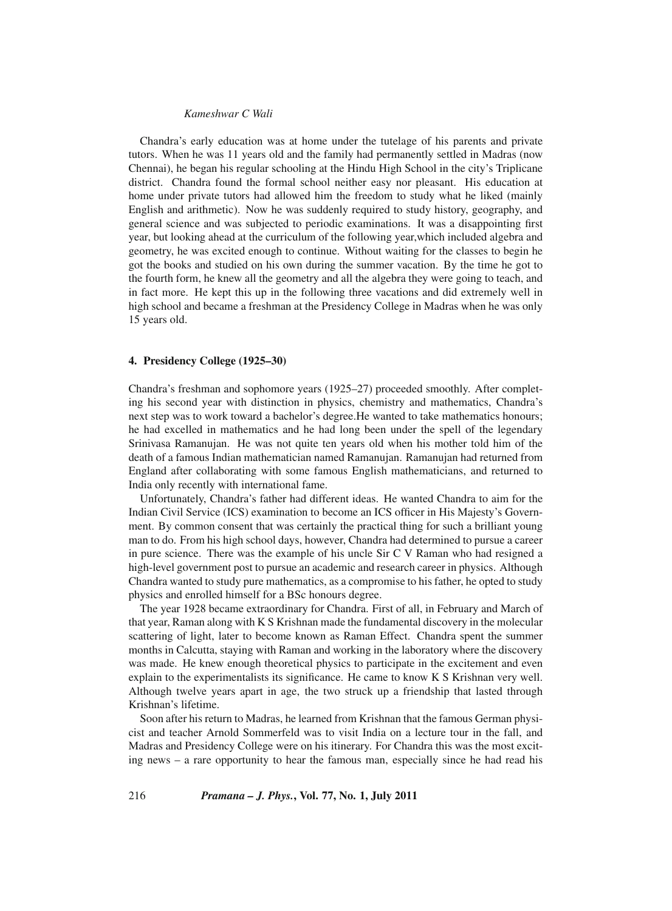Chandra's early education was at home under the tutelage of his parents and private tutors. When he was 11 years old and the family had permanently settled in Madras (now Chennai), he began his regular schooling at the Hindu High School in the city's Triplicane district. Chandra found the formal school neither easy nor pleasant. His education at home under private tutors had allowed him the freedom to study what he liked (mainly English and arithmetic). Now he was suddenly required to study history, geography, and general science and was subjected to periodic examinations. It was a disappointing first year, but looking ahead at the curriculum of the following year,which included algebra and geometry, he was excited enough to continue. Without waiting for the classes to begin he got the books and studied on his own during the summer vacation. By the time he got to the fourth form, he knew all the geometry and all the algebra they were going to teach, and in fact more. He kept this up in the following three vacations and did extremely well in high school and became a freshman at the Presidency College in Madras when he was only 15 years old.

## **4. Presidency College (1925–30)**

Chandra's freshman and sophomore years (1925–27) proceeded smoothly. After completing his second year with distinction in physics, chemistry and mathematics, Chandra's next step was to work toward a bachelor's degree.He wanted to take mathematics honours; he had excelled in mathematics and he had long been under the spell of the legendary Srinivasa Ramanujan. He was not quite ten years old when his mother told him of the death of a famous Indian mathematician named Ramanujan. Ramanujan had returned from England after collaborating with some famous English mathematicians, and returned to India only recently with international fame.

Unfortunately, Chandra's father had different ideas. He wanted Chandra to aim for the Indian Civil Service (ICS) examination to become an ICS officer in His Majesty's Government. By common consent that was certainly the practical thing for such a brilliant young man to do. From his high school days, however, Chandra had determined to pursue a career in pure science. There was the example of his uncle Sir C V Raman who had resigned a high-level government post to pursue an academic and research career in physics. Although Chandra wanted to study pure mathematics, as a compromise to his father, he opted to study physics and enrolled himself for a BSc honours degree.

The year 1928 became extraordinary for Chandra. First of all, in February and March of that year, Raman along with K S Krishnan made the fundamental discovery in the molecular scattering of light, later to become known as Raman Effect. Chandra spent the summer months in Calcutta, staying with Raman and working in the laboratory where the discovery was made. He knew enough theoretical physics to participate in the excitement and even explain to the experimentalists its significance. He came to know K S Krishnan very well. Although twelve years apart in age, the two struck up a friendship that lasted through Krishnan's lifetime.

Soon after his return to Madras, he learned from Krishnan that the famous German physicist and teacher Arnold Sommerfeld was to visit India on a lecture tour in the fall, and Madras and Presidency College were on his itinerary. For Chandra this was the most exciting news – a rare opportunity to hear the famous man, especially since he had read his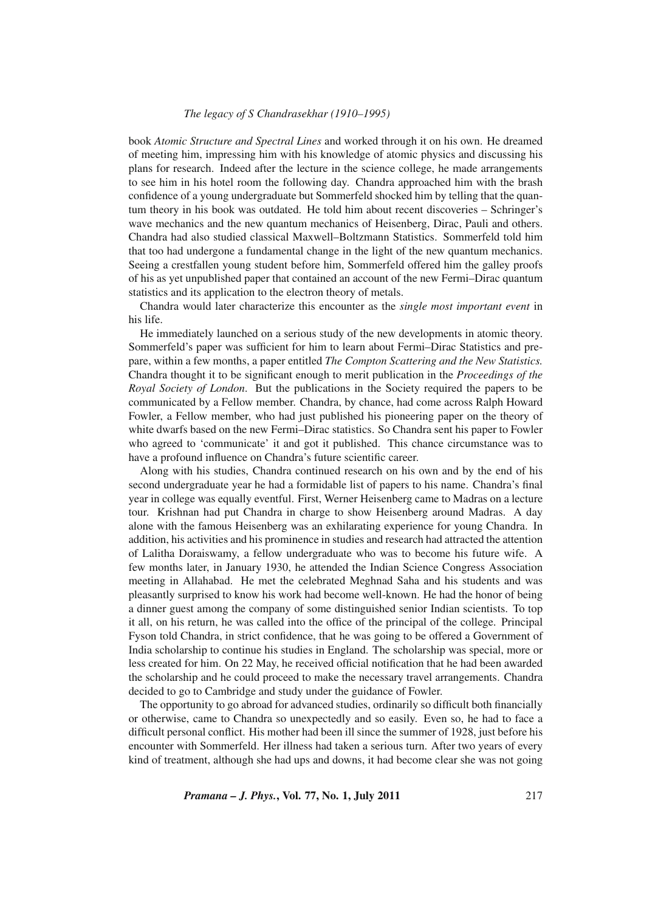book *Atomic Structure and Spectral Lines* and worked through it on his own. He dreamed of meeting him, impressing him with his knowledge of atomic physics and discussing his plans for research. Indeed after the lecture in the science college, he made arrangements to see him in his hotel room the following day. Chandra approached him with the brash confidence of a young undergraduate but Sommerfeld shocked him by telling that the quantum theory in his book was outdated. He told him about recent discoveries – Schringer's wave mechanics and the new quantum mechanics of Heisenberg, Dirac, Pauli and others. Chandra had also studied classical Maxwell–Boltzmann Statistics. Sommerfeld told him that too had undergone a fundamental change in the light of the new quantum mechanics. Seeing a crestfallen young student before him, Sommerfeld offered him the galley proofs of his as yet unpublished paper that contained an account of the new Fermi–Dirac quantum statistics and its application to the electron theory of metals.

Chandra would later characterize this encounter as the *single most important event* in his life.

He immediately launched on a serious study of the new developments in atomic theory. Sommerfeld's paper was sufficient for him to learn about Fermi–Dirac Statistics and prepare, within a few months, a paper entitled *The Compton Scattering and the New Statistics.* Chandra thought it to be significant enough to merit publication in the *Proceedings of the Royal Society of London*. But the publications in the Society required the papers to be communicated by a Fellow member. Chandra, by chance, had come across Ralph Howard Fowler, a Fellow member, who had just published his pioneering paper on the theory of white dwarfs based on the new Fermi–Dirac statistics. So Chandra sent his paper to Fowler who agreed to 'communicate' it and got it published. This chance circumstance was to have a profound influence on Chandra's future scientific career.

Along with his studies, Chandra continued research on his own and by the end of his second undergraduate year he had a formidable list of papers to his name. Chandra's final year in college was equally eventful. First, Werner Heisenberg came to Madras on a lecture tour. Krishnan had put Chandra in charge to show Heisenberg around Madras. A day alone with the famous Heisenberg was an exhilarating experience for young Chandra. In addition, his activities and his prominence in studies and research had attracted the attention of Lalitha Doraiswamy, a fellow undergraduate who was to become his future wife. A few months later, in January 1930, he attended the Indian Science Congress Association meeting in Allahabad. He met the celebrated Meghnad Saha and his students and was pleasantly surprised to know his work had become well-known. He had the honor of being a dinner guest among the company of some distinguished senior Indian scientists. To top it all, on his return, he was called into the office of the principal of the college. Principal Fyson told Chandra, in strict confidence, that he was going to be offered a Government of India scholarship to continue his studies in England. The scholarship was special, more or less created for him. On 22 May, he received official notification that he had been awarded the scholarship and he could proceed to make the necessary travel arrangements. Chandra decided to go to Cambridge and study under the guidance of Fowler.

The opportunity to go abroad for advanced studies, ordinarily so difficult both financially or otherwise, came to Chandra so unexpectedly and so easily. Even so, he had to face a difficult personal conflict. His mother had been ill since the summer of 1928, just before his encounter with Sommerfeld. Her illness had taken a serious turn. After two years of every kind of treatment, although she had ups and downs, it had become clear she was not going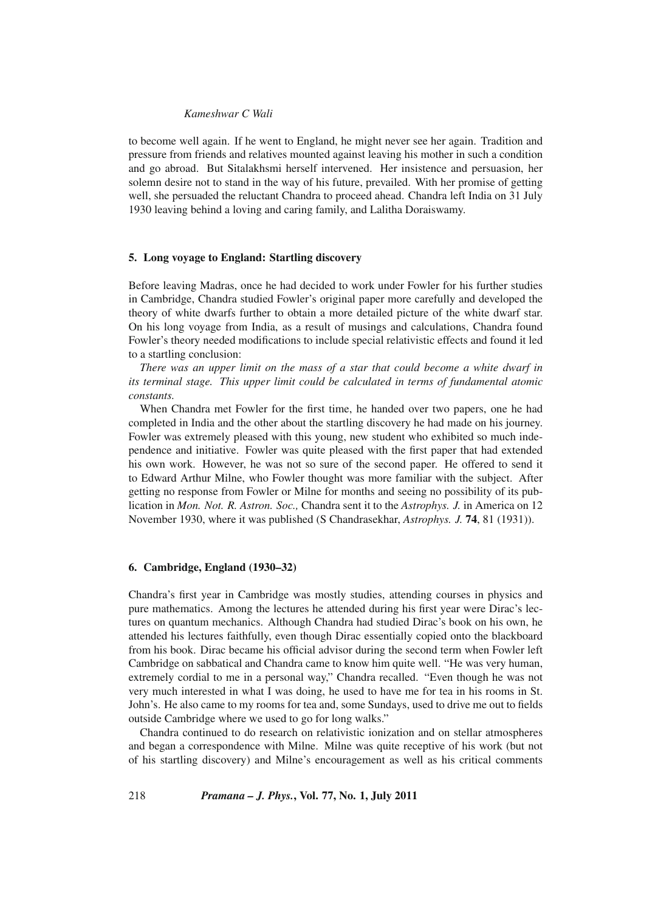to become well again. If he went to England, he might never see her again. Tradition and pressure from friends and relatives mounted against leaving his mother in such a condition and go abroad. But Sitalakhsmi herself intervened. Her insistence and persuasion, her solemn desire not to stand in the way of his future, prevailed. With her promise of getting well, she persuaded the reluctant Chandra to proceed ahead. Chandra left India on 31 July 1930 leaving behind a loving and caring family, and Lalitha Doraiswamy.

## **5. Long voyage to England: Startling discovery**

Before leaving Madras, once he had decided to work under Fowler for his further studies in Cambridge, Chandra studied Fowler's original paper more carefully and developed the theory of white dwarfs further to obtain a more detailed picture of the white dwarf star. On his long voyage from India, as a result of musings and calculations, Chandra found Fowler's theory needed modifications to include special relativistic effects and found it led to a startling conclusion:

*There was an upper limit on the mass of a star that could become a white dwarf in its terminal stage. This upper limit could be calculated in terms of fundamental atomic constants.*

When Chandra met Fowler for the first time, he handed over two papers, one he had completed in India and the other about the startling discovery he had made on his journey. Fowler was extremely pleased with this young, new student who exhibited so much independence and initiative. Fowler was quite pleased with the first paper that had extended his own work. However, he was not so sure of the second paper. He offered to send it to Edward Arthur Milne, who Fowler thought was more familiar with the subject. After getting no response from Fowler or Milne for months and seeing no possibility of its publication in *Mon. Not. R. Astron. Soc.,* Chandra sent it to the *Astrophys. J.* in America on 12 November 1930, where it was published (S Chandrasekhar, *Astrophys. J.* **74**, 81 (1931)).

# **6. Cambridge, England (1930–32)**

Chandra's first year in Cambridge was mostly studies, attending courses in physics and pure mathematics. Among the lectures he attended during his first year were Dirac's lectures on quantum mechanics. Although Chandra had studied Dirac's book on his own, he attended his lectures faithfully, even though Dirac essentially copied onto the blackboard from his book. Dirac became his official advisor during the second term when Fowler left Cambridge on sabbatical and Chandra came to know him quite well. "He was very human, extremely cordial to me in a personal way," Chandra recalled. "Even though he was not very much interested in what I was doing, he used to have me for tea in his rooms in St. John's. He also came to my rooms for tea and, some Sundays, used to drive me out to fields outside Cambridge where we used to go for long walks."

Chandra continued to do research on relativistic ionization and on stellar atmospheres and began a correspondence with Milne. Milne was quite receptive of his work (but not of his startling discovery) and Milne's encouragement as well as his critical comments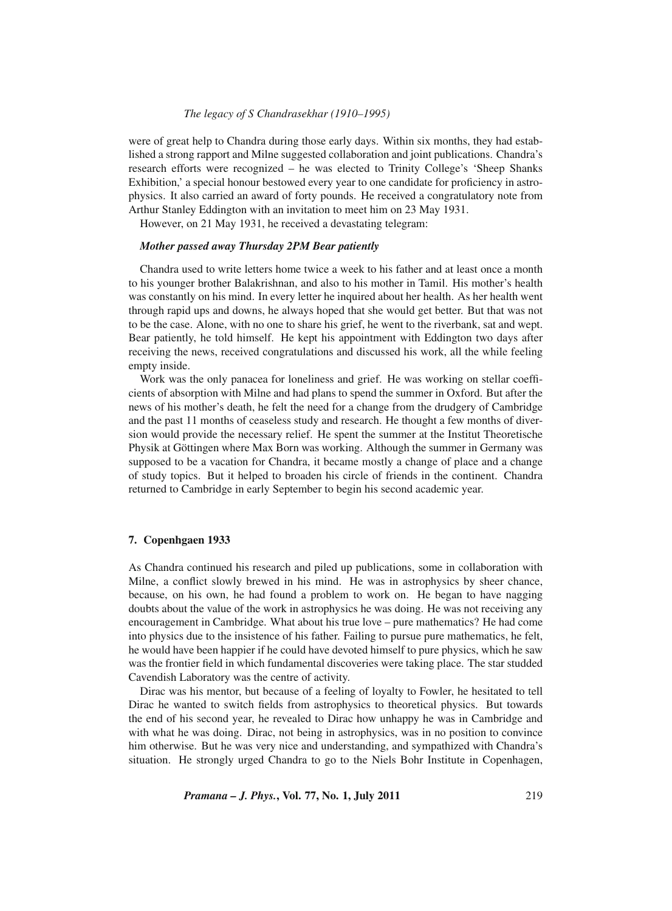were of great help to Chandra during those early days. Within six months, they had established a strong rapport and Milne suggested collaboration and joint publications. Chandra's research efforts were recognized – he was elected to Trinity College's 'Sheep Shanks Exhibition,' a special honour bestowed every year to one candidate for proficiency in astrophysics. It also carried an award of forty pounds. He received a congratulatory note from Arthur Stanley Eddington with an invitation to meet him on 23 May 1931.

However, on 21 May 1931, he received a devastating telegram:

## *Mother passed away Thursday 2PM Bear patiently*

Chandra used to write letters home twice a week to his father and at least once a month to his younger brother Balakrishnan, and also to his mother in Tamil. His mother's health was constantly on his mind. In every letter he inquired about her health. As her health went through rapid ups and downs, he always hoped that she would get better. But that was not to be the case. Alone, with no one to share his grief, he went to the riverbank, sat and wept. Bear patiently, he told himself. He kept his appointment with Eddington two days after receiving the news, received congratulations and discussed his work, all the while feeling empty inside.

Work was the only panacea for loneliness and grief. He was working on stellar coefficients of absorption with Milne and had plans to spend the summer in Oxford. But after the news of his mother's death, he felt the need for a change from the drudgery of Cambridge and the past 11 months of ceaseless study and research. He thought a few months of diversion would provide the necessary relief. He spent the summer at the Institut Theoretische Physik at Göttingen where Max Born was working. Although the summer in Germany was supposed to be a vacation for Chandra, it became mostly a change of place and a change of study topics. But it helped to broaden his circle of friends in the continent. Chandra returned to Cambridge in early September to begin his second academic year.

### **7. Copenhgaen 1933**

As Chandra continued his research and piled up publications, some in collaboration with Milne, a conflict slowly brewed in his mind. He was in astrophysics by sheer chance, because, on his own, he had found a problem to work on. He began to have nagging doubts about the value of the work in astrophysics he was doing. He was not receiving any encouragement in Cambridge. What about his true love – pure mathematics? He had come into physics due to the insistence of his father. Failing to pursue pure mathematics, he felt, he would have been happier if he could have devoted himself to pure physics, which he saw was the frontier field in which fundamental discoveries were taking place. The star studded Cavendish Laboratory was the centre of activity.

Dirac was his mentor, but because of a feeling of loyalty to Fowler, he hesitated to tell Dirac he wanted to switch fields from astrophysics to theoretical physics. But towards the end of his second year, he revealed to Dirac how unhappy he was in Cambridge and with what he was doing. Dirac, not being in astrophysics, was in no position to convince him otherwise. But he was very nice and understanding, and sympathized with Chandra's situation. He strongly urged Chandra to go to the Niels Bohr Institute in Copenhagen,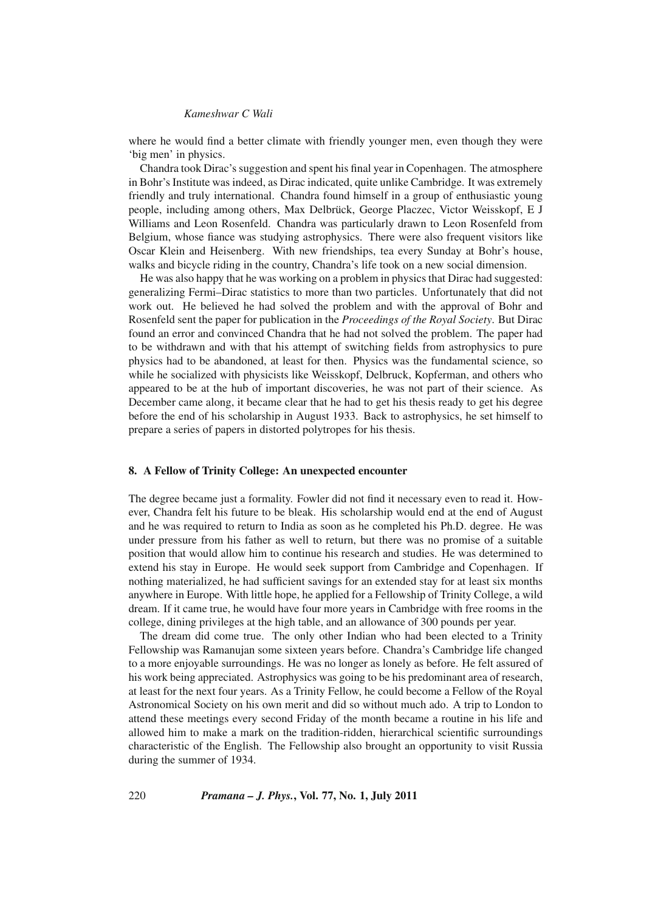where he would find a better climate with friendly younger men, even though they were 'big men' in physics.

Chandra took Dirac's suggestion and spent his final year in Copenhagen. The atmosphere in Bohr's Institute was indeed, as Dirac indicated, quite unlike Cambridge. It was extremely friendly and truly international. Chandra found himself in a group of enthusiastic young people, including among others, Max Delbrück, George Placzec, Victor Weisskopf, E J Williams and Leon Rosenfeld. Chandra was particularly drawn to Leon Rosenfeld from Belgium, whose fiance was studying astrophysics. There were also frequent visitors like Oscar Klein and Heisenberg. With new friendships, tea every Sunday at Bohr's house, walks and bicycle riding in the country, Chandra's life took on a new social dimension.

He was also happy that he was working on a problem in physics that Dirac had suggested: generalizing Fermi–Dirac statistics to more than two particles. Unfortunately that did not work out. He believed he had solved the problem and with the approval of Bohr and Rosenfeld sent the paper for publication in the *Proceedings of the Royal Society*. But Dirac found an error and convinced Chandra that he had not solved the problem. The paper had to be withdrawn and with that his attempt of switching fields from astrophysics to pure physics had to be abandoned, at least for then. Physics was the fundamental science, so while he socialized with physicists like Weisskopf, Delbruck, Kopferman, and others who appeared to be at the hub of important discoveries, he was not part of their science. As December came along, it became clear that he had to get his thesis ready to get his degree before the end of his scholarship in August 1933. Back to astrophysics, he set himself to prepare a series of papers in distorted polytropes for his thesis.

#### **8. A Fellow of Trinity College: An unexpected encounter**

The degree became just a formality. Fowler did not find it necessary even to read it. However, Chandra felt his future to be bleak. His scholarship would end at the end of August and he was required to return to India as soon as he completed his Ph.D. degree. He was under pressure from his father as well to return, but there was no promise of a suitable position that would allow him to continue his research and studies. He was determined to extend his stay in Europe. He would seek support from Cambridge and Copenhagen. If nothing materialized, he had sufficient savings for an extended stay for at least six months anywhere in Europe. With little hope, he applied for a Fellowship of Trinity College, a wild dream. If it came true, he would have four more years in Cambridge with free rooms in the college, dining privileges at the high table, and an allowance of 300 pounds per year.

The dream did come true. The only other Indian who had been elected to a Trinity Fellowship was Ramanujan some sixteen years before. Chandra's Cambridge life changed to a more enjoyable surroundings. He was no longer as lonely as before. He felt assured of his work being appreciated. Astrophysics was going to be his predominant area of research, at least for the next four years. As a Trinity Fellow, he could become a Fellow of the Royal Astronomical Society on his own merit and did so without much ado. A trip to London to attend these meetings every second Friday of the month became a routine in his life and allowed him to make a mark on the tradition-ridden, hierarchical scientific surroundings characteristic of the English. The Fellowship also brought an opportunity to visit Russia during the summer of 1934.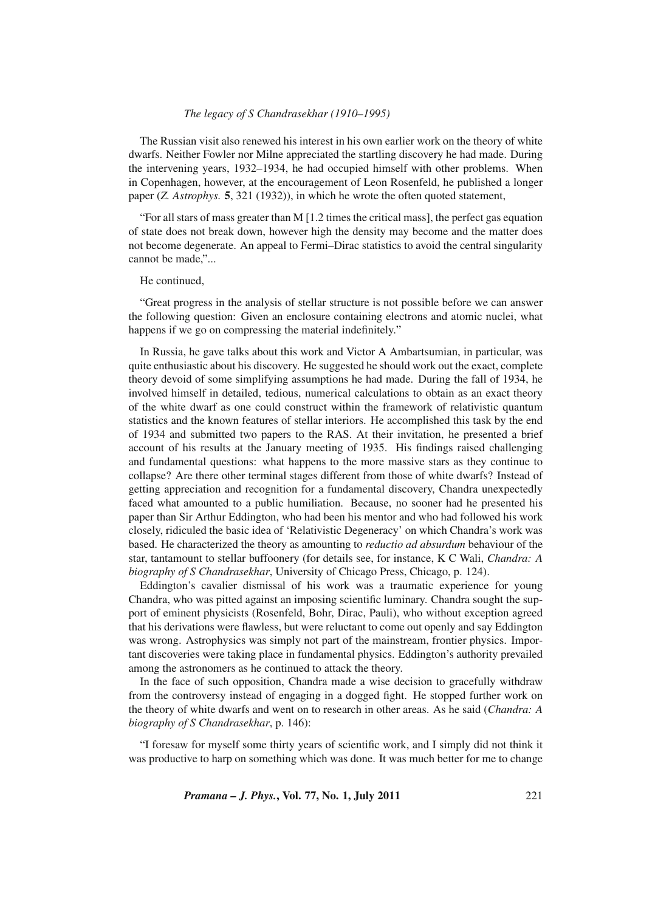The Russian visit also renewed his interest in his own earlier work on the theory of white dwarfs. Neither Fowler nor Milne appreciated the startling discovery he had made. During the intervening years, 1932–1934, he had occupied himself with other problems. When in Copenhagen, however, at the encouragement of Leon Rosenfeld, he published a longer paper (*Z. Astrophys.* **5**, 321 (1932)), in which he wrote the often quoted statement,

"For all stars of mass greater than M  $[1.2$  times the critical mass], the perfect gas equation of state does not break down, however high the density may become and the matter does not become degenerate. An appeal to Fermi–Dirac statistics to avoid the central singularity cannot be made,"...

#### He continued,

"Great progress in the analysis of stellar structure is not possible before we can answer the following question: Given an enclosure containing electrons and atomic nuclei, what happens if we go on compressing the material indefinitely."

In Russia, he gave talks about this work and Victor A Ambartsumian, in particular, was quite enthusiastic about his discovery. He suggested he should work out the exact, complete theory devoid of some simplifying assumptions he had made. During the fall of 1934, he involved himself in detailed, tedious, numerical calculations to obtain as an exact theory of the white dwarf as one could construct within the framework of relativistic quantum statistics and the known features of stellar interiors. He accomplished this task by the end of 1934 and submitted two papers to the RAS. At their invitation, he presented a brief account of his results at the January meeting of 1935. His findings raised challenging and fundamental questions: what happens to the more massive stars as they continue to collapse? Are there other terminal stages different from those of white dwarfs? Instead of getting appreciation and recognition for a fundamental discovery, Chandra unexpectedly faced what amounted to a public humiliation. Because, no sooner had he presented his paper than Sir Arthur Eddington, who had been his mentor and who had followed his work closely, ridiculed the basic idea of 'Relativistic Degeneracy' on which Chandra's work was based. He characterized the theory as amounting to *reductio ad absurdum* behaviour of the star, tantamount to stellar buffoonery (for details see, for instance, K C Wali, *Chandra: A biography of S Chandrasekhar*, University of Chicago Press, Chicago, p. 124).

Eddington's cavalier dismissal of his work was a traumatic experience for young Chandra, who was pitted against an imposing scientific luminary. Chandra sought the support of eminent physicists (Rosenfeld, Bohr, Dirac, Pauli), who without exception agreed that his derivations were flawless, but were reluctant to come out openly and say Eddington was wrong. Astrophysics was simply not part of the mainstream, frontier physics. Important discoveries were taking place in fundamental physics. Eddington's authority prevailed among the astronomers as he continued to attack the theory.

In the face of such opposition, Chandra made a wise decision to gracefully withdraw from the controversy instead of engaging in a dogged fight. He stopped further work on the theory of white dwarfs and went on to research in other areas. As he said (*Chandra: A biography of S Chandrasekhar*, p. 146):

"I foresaw for myself some thirty years of scientific work, and I simply did not think it was productive to harp on something which was done. It was much better for me to change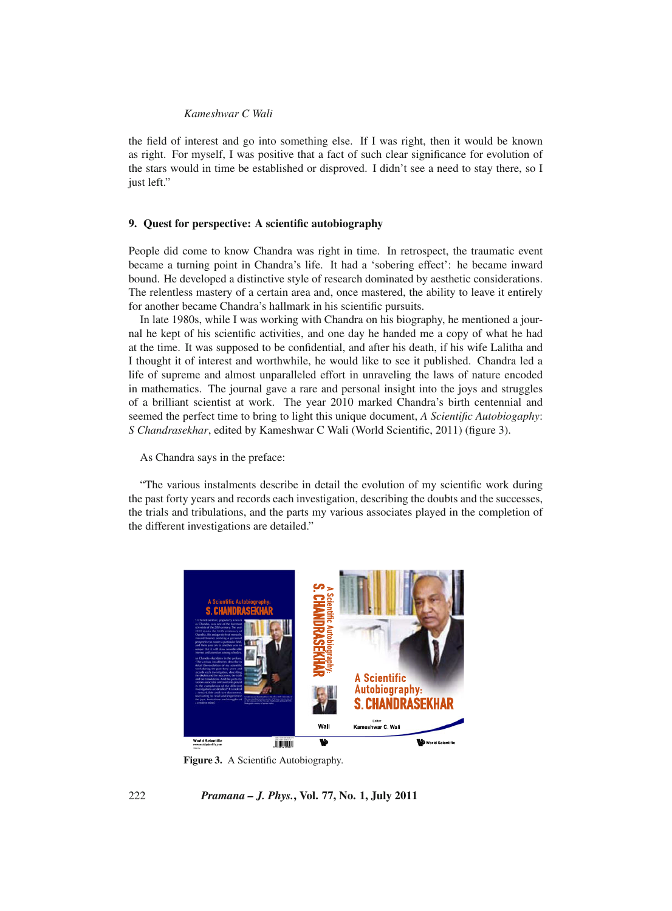the field of interest and go into something else. If I was right, then it would be known as right. For myself, I was positive that a fact of such clear significance for evolution of the stars would in time be established or disproved. I didn't see a need to stay there, so I just left."

#### **9. Quest for perspective: A scientific autobiography**

People did come to know Chandra was right in time. In retrospect, the traumatic event became a turning point in Chandra's life. It had a 'sobering effect': he became inward bound. He developed a distinctive style of research dominated by aesthetic considerations. The relentless mastery of a certain area and, once mastered, the ability to leave it entirely for another became Chandra's hallmark in his scientific pursuits.

In late 1980s, while I was working with Chandra on his biography, he mentioned a journal he kept of his scientific activities, and one day he handed me a copy of what he had at the time. It was supposed to be confidential, and after his death, if his wife Lalitha and I thought it of interest and worthwhile, he would like to see it published. Chandra led a life of supreme and almost unparalleled effort in unraveling the laws of nature encoded in mathematics. The journal gave a rare and personal insight into the joys and struggles of a brilliant scientist at work. The year 2010 marked Chandra's birth centennial and seemed the perfect time to bring to light this unique document, *A Scientific Autobiogaphy*: *S Chandrasekhar*, edited by Kameshwar C Wali (World Scientific, 2011) (figure 3).

As Chandra says in the preface:

"The various instalments describe in detail the evolution of my scientific work during the past forty years and records each investigation, describing the doubts and the successes, the trials and tribulations, and the parts my various associates played in the completion of the different investigations are detailed."



**Figure 3.** A Scientific Autobiography.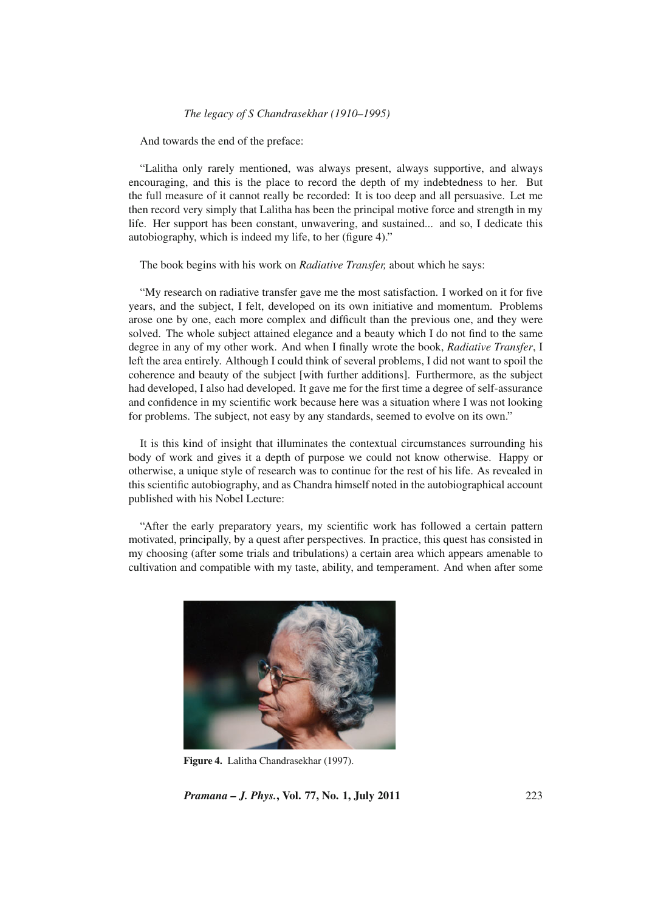And towards the end of the preface:

"Lalitha only rarely mentioned, was always present, always supportive, and always encouraging, and this is the place to record the depth of my indebtedness to her. But the full measure of it cannot really be recorded: It is too deep and all persuasive. Let me then record very simply that Lalitha has been the principal motive force and strength in my life. Her support has been constant, unwavering, and sustained... and so, I dedicate this autobiography, which is indeed my life, to her (figure 4)."

#### The book begins with his work on *Radiative Transfer,* about which he says:

"My research on radiative transfer gave me the most satisfaction. I worked on it for five years, and the subject, I felt, developed on its own initiative and momentum. Problems arose one by one, each more complex and difficult than the previous one, and they were solved. The whole subject attained elegance and a beauty which I do not find to the same degree in any of my other work. And when I finally wrote the book, *Radiative Transfer*, I left the area entirely. Although I could think of several problems, I did not want to spoil the coherence and beauty of the subject [with further additions]. Furthermore, as the subject had developed, I also had developed. It gave me for the first time a degree of self-assurance and confidence in my scientific work because here was a situation where I was not looking for problems. The subject, not easy by any standards, seemed to evolve on its own."

It is this kind of insight that illuminates the contextual circumstances surrounding his body of work and gives it a depth of purpose we could not know otherwise. Happy or otherwise, a unique style of research was to continue for the rest of his life. As revealed in this scientific autobiography, and as Chandra himself noted in the autobiographical account published with his Nobel Lecture:

"After the early preparatory years, my scientific work has followed a certain pattern motivated, principally, by a quest after perspectives. In practice, this quest has consisted in my choosing (after some trials and tribulations) a certain area which appears amenable to cultivation and compatible with my taste, ability, and temperament. And when after some



**Figure 4.** Lalitha Chandrasekhar (1997).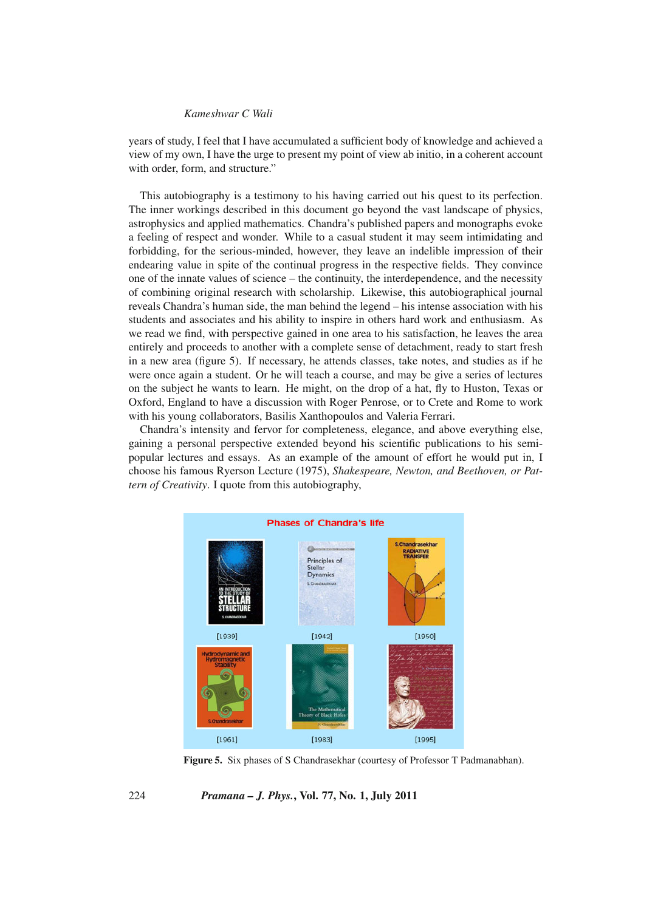years of study, I feel that I have accumulated a sufficient body of knowledge and achieved a view of my own, I have the urge to present my point of view ab initio, in a coherent account with order, form, and structure."

This autobiography is a testimony to his having carried out his quest to its perfection. The inner workings described in this document go beyond the vast landscape of physics, astrophysics and applied mathematics. Chandra's published papers and monographs evoke a feeling of respect and wonder. While to a casual student it may seem intimidating and forbidding, for the serious-minded, however, they leave an indelible impression of their endearing value in spite of the continual progress in the respective fields. They convince one of the innate values of science – the continuity, the interdependence, and the necessity of combining original research with scholarship. Likewise, this autobiographical journal reveals Chandra's human side, the man behind the legend – his intense association with his students and associates and his ability to inspire in others hard work and enthusiasm. As we read we find, with perspective gained in one area to his satisfaction, he leaves the area entirely and proceeds to another with a complete sense of detachment, ready to start fresh in a new area (figure 5). If necessary, he attends classes, take notes, and studies as if he were once again a student. Or he will teach a course, and may be give a series of lectures on the subject he wants to learn. He might, on the drop of a hat, fly to Huston, Texas or Oxford, England to have a discussion with Roger Penrose, or to Crete and Rome to work with his young collaborators, Basilis Xanthopoulos and Valeria Ferrari.

Chandra's intensity and fervor for completeness, elegance, and above everything else, gaining a personal perspective extended beyond his scientific publications to his semipopular lectures and essays. As an example of the amount of effort he would put in, I choose his famous Ryerson Lecture (1975), *Shakespeare, Newton, and Beethoven, or Pattern of Creativity*. I quote from this autobiography,



**Figure 5.** Six phases of S Chandrasekhar (courtesy of Professor T Padmanabhan).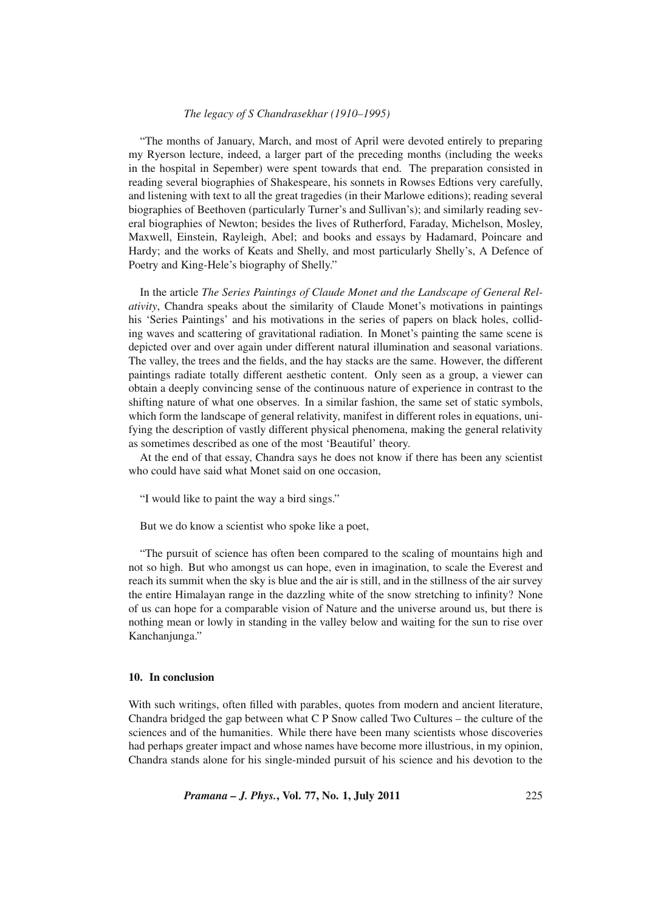"The months of January, March, and most of April were devoted entirely to preparing my Ryerson lecture, indeed, a larger part of the preceding months (including the weeks in the hospital in Sepember) were spent towards that end. The preparation consisted in reading several biographies of Shakespeare, his sonnets in Rowses Edtions very carefully, and listening with text to all the great tragedies (in their Marlowe editions); reading several biographies of Beethoven (particularly Turner's and Sullivan's); and similarly reading several biographies of Newton; besides the lives of Rutherford, Faraday, Michelson, Mosley, Maxwell, Einstein, Rayleigh, Abel; and books and essays by Hadamard, Poincare and Hardy; and the works of Keats and Shelly, and most particularly Shelly's, A Defence of Poetry and King-Hele's biography of Shelly."

In the article *The Series Paintings of Claude Monet and the Landscape of General Relativity*, Chandra speaks about the similarity of Claude Monet's motivations in paintings his 'Series Paintings' and his motivations in the series of papers on black holes, colliding waves and scattering of gravitational radiation. In Monet's painting the same scene is depicted over and over again under different natural illumination and seasonal variations. The valley, the trees and the fields, and the hay stacks are the same. However, the different paintings radiate totally different aesthetic content. Only seen as a group, a viewer can obtain a deeply convincing sense of the continuous nature of experience in contrast to the shifting nature of what one observes. In a similar fashion, the same set of static symbols, which form the landscape of general relativity, manifest in different roles in equations, unifying the description of vastly different physical phenomena, making the general relativity as sometimes described as one of the most 'Beautiful' theory.

At the end of that essay, Chandra says he does not know if there has been any scientist who could have said what Monet said on one occasion.

"I would like to paint the way a bird sings."

But we do know a scientist who spoke like a poet,

"The pursuit of science has often been compared to the scaling of mountains high and not so high. But who amongst us can hope, even in imagination, to scale the Everest and reach its summit when the sky is blue and the air is still, and in the stillness of the air survey the entire Himalayan range in the dazzling white of the snow stretching to infinity? None of us can hope for a comparable vision of Nature and the universe around us, but there is nothing mean or lowly in standing in the valley below and waiting for the sun to rise over Kanchanjunga."

# **10. In conclusion**

With such writings, often filled with parables, quotes from modern and ancient literature, Chandra bridged the gap between what C P Snow called Two Cultures – the culture of the sciences and of the humanities. While there have been many scientists whose discoveries had perhaps greater impact and whose names have become more illustrious, in my opinion, Chandra stands alone for his single-minded pursuit of his science and his devotion to the